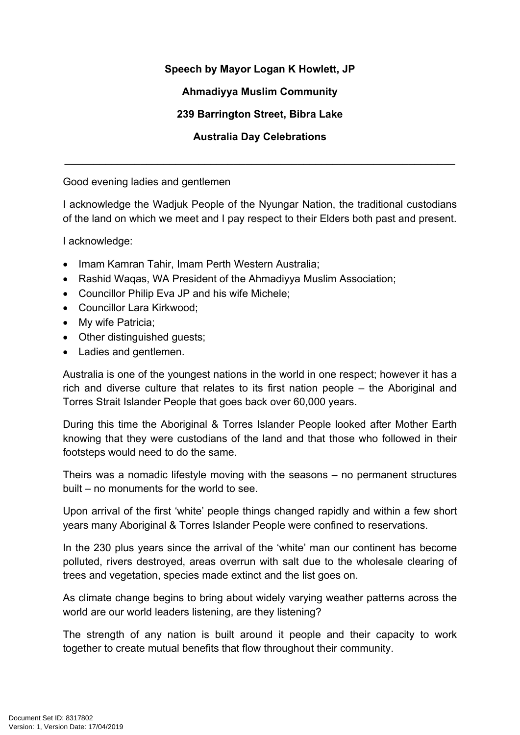## **Speech by Mayor Logan K Howlett, JP**

## **Ahmadiyya Muslim Community**

## **239 Barrington Street, Bibra Lake**

## **Australia Day Celebrations**

\_\_\_\_\_\_\_\_\_\_\_\_\_\_\_\_\_\_\_\_\_\_\_\_\_\_\_\_\_\_\_\_\_\_\_\_\_\_\_\_\_\_\_\_\_\_\_\_\_\_\_\_\_\_\_\_\_\_\_\_\_\_\_\_\_\_\_

Good evening ladies and gentlemen

I acknowledge the Wadjuk People of the Nyungar Nation, the traditional custodians of the land on which we meet and I pay respect to their Elders both past and present.

I acknowledge:

- Imam Kamran Tahir, Imam Perth Western Australia:
- Rashid Waqas, WA President of the Ahmadiyya Muslim Association;
- Councillor Philip Eva JP and his wife Michele;
- Councillor Lara Kirkwood;
- My wife Patricia:
- Other distinguished guests;
- Ladies and gentlemen.

Australia is one of the youngest nations in the world in one respect; however it has a rich and diverse culture that relates to its first nation people – the Aboriginal and Torres Strait Islander People that goes back over 60,000 years.

During this time the Aboriginal & Torres Islander People looked after Mother Earth knowing that they were custodians of the land and that those who followed in their footsteps would need to do the same.

Theirs was a nomadic lifestyle moving with the seasons – no permanent structures built – no monuments for the world to see.

Upon arrival of the first 'white' people things changed rapidly and within a few short years many Aboriginal & Torres Islander People were confined to reservations.

In the 230 plus years since the arrival of the 'white' man our continent has become polluted, rivers destroyed, areas overrun with salt due to the wholesale clearing of trees and vegetation, species made extinct and the list goes on.

As climate change begins to bring about widely varying weather patterns across the world are our world leaders listening, are they listening?

The strength of any nation is built around it people and their capacity to work together to create mutual benefits that flow throughout their community.